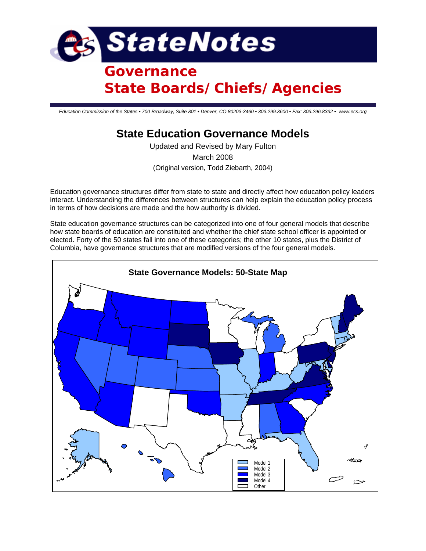

# **Governance State Boards/Chiefs/Agencies**

*Education Commission of the States • 700 Broadway, Suite 801 • Denver, CO 80203-3460 • 303.299.3600 • Fax: 303.296.8332 • www.ecs.org*

# **State Education Governance Models**

Updated and Revised by Mary Fulton March 2008 (Original version, Todd Ziebarth, 2004)

Education governance structures differ from state to state and directly affect how education policy leaders interact. Understanding the differences between structures can help explain the education policy process in terms of how decisions are made and the how authority is divided.

State education governance structures can be categorized into one of four general models that describe how state boards of education are constituted and whether the chief state school officer is appointed or elected. Forty of the 50 states fall into one of these categories; the other 10 states, plus the District of Columbia, have governance structures that are modified versions of the four general models.

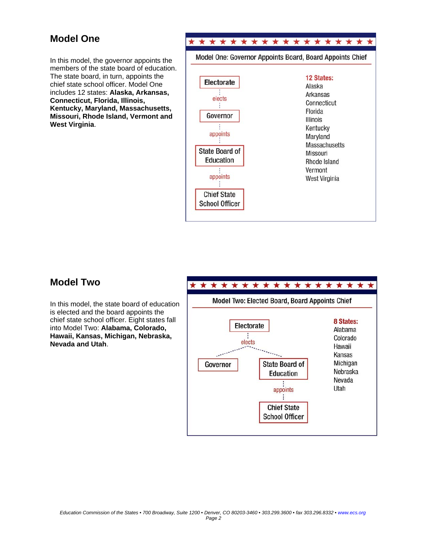## **Model One**

In this model, the governor appoints the members of the state board of education. The state board, in turn, appoints the chief state school officer. Model One includes 12 states: **Alaska, Arkansas, Connecticut, Florida, Illinois, Kentucky, Maryland, Massachusetts, Missouri, Rhode Island, Vermont and West Virginia**.



### **Model Two**

In this model, the state board of education is elected and the board appoints the chief state school officer. Eight states fall into Model Two: **Alabama, Colorado, Hawaii, Kansas, Michigan, Nebraska, Nevada and Utah**.

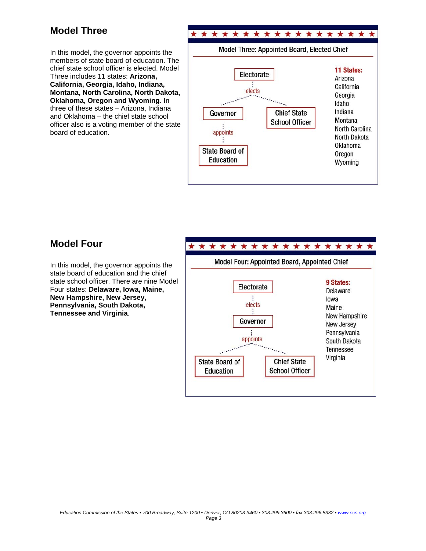# **Model Three**

In this model, the governor appoints the members of state board of education. The chief state school officer is elected. Model Three includes 11 states: **Arizona, California, Georgia, Idaho, Indiana, Montana, North Carolina, North Dakota, Oklahoma, Oregon and Wyoming**. In three of these states – Arizona, Indiana and Oklahoma – the chief state school officer also is a voting member of the state board of education.



### **Model Four**

In this model, the governor appoints the state board of education and the chief state school officer. There are nine Model Four states: **Delaware, Iowa, Maine, New Hampshire, New Jersey, Pennsylvania, South Dakota, Tennessee and Virginia**.

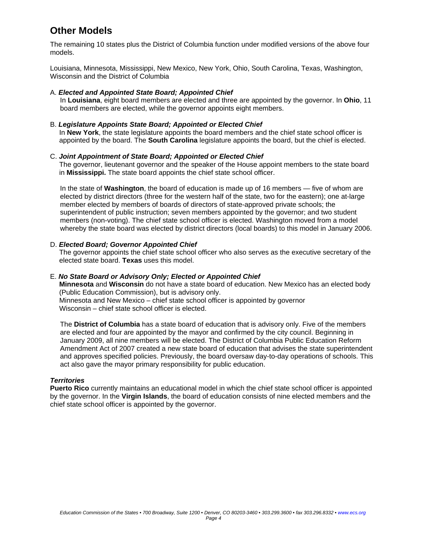# **Other Models**

The remaining 10 states plus the District of Columbia function under modified versions of the above four models.

Louisiana, Minnesota, Mississippi, New Mexico, New York, Ohio, South Carolina, Texas, Washington, Wisconsin and the District of Columbia

#### A. *Elected and Appointed State Board; Appointed Chief*

In **Louisiana**, eight board members are elected and three are appointed by the governor. In **Ohio**, 11 board members are elected, while the governor appoints eight members.

#### B. *Legislature Appoints State Board; Appointed or Elected Chief*

In **New York**, the state legislature appoints the board members and the chief state school officer is appointed by the board. The **South Carolina** legislature appoints the board, but the chief is elected.

#### C. *Joint Appointment of State Board; Appointed or Elected Chief*

The governor, lieutenant governor and the speaker of the House appoint members to the state board in **Mississippi.** The state board appoints the chief state school officer.

In the state of **Washington**, the board of education is made up of 16 members — five of whom are elected by district directors (three for the western half of the state, two for the eastern); one at-large member elected by members of boards of directors of state-approved private schools; the superintendent of public instruction; seven members appointed by the governor; and two student members (non-voting). The chief state school officer is elected. Washington moved from a model whereby the state board was elected by district directors (local boards) to this model in January 2006.

#### D. *Elected Board; Governor Appointed Chief*

The governor appoints the chief state school officer who also serves as the executive secretary of the elected state board. **Texas** uses this model.

#### E. *No State Board or Advisory Only; Elected or Appointed Chief*

**Minnesota** and **Wisconsin** do not have a state board of education. New Mexico has an elected body (Public Education Commission), but is advisory only.

Minnesota and New Mexico – chief state school officer is appointed by governor Wisconsin – chief state school officer is elected.

The **District of Columbia** has a state board of education that is advisory only. Five of the members are elected and four are appointed by the mayor and confirmed by the city council. Beginning in January 2009, all nine members will be elected. The District of Columbia Public Education Reform Amendment Act of 2007 created a new state board of education that advises the state superintendent and approves specified policies. Previously, the board oversaw day-to-day operations of schools. This act also gave the mayor primary responsibility for public education.

#### *Territories*

**Puerto Rico** currently maintains an educational model in which the chief state school officer is appointed by the governor. In the **Virgin Islands**, the board of education consists of nine elected members and the chief state school officer is appointed by the governor.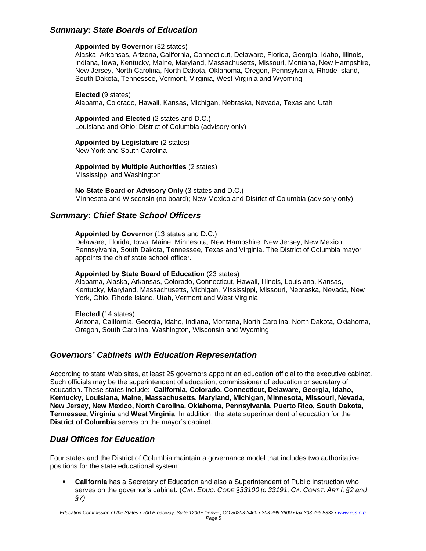### *Summary: State Boards of Education*

#### **Appointed by Governor** (32 states)

Alaska, Arkansas, Arizona, California, Connecticut, Delaware, Florida, Georgia, Idaho, Illinois, Indiana, Iowa, Kentucky, Maine, Maryland, Massachusetts, Missouri, Montana, New Hampshire, New Jersey, North Carolina, North Dakota, Oklahoma, Oregon, Pennsylvania, Rhode Island, South Dakota, Tennessee, Vermont, Virginia, West Virginia and Wyoming

**Elected** (9 states)

Alabama, Colorado, Hawaii, Kansas, Michigan, Nebraska, Nevada, Texas and Utah

**Appointed and Elected** (2 states and D.C.) Louisiana and Ohio; District of Columbia (advisory only)

**Appointed by Legislature** (2 states)

New York and South Carolina

**Appointed by Multiple Authorities** (2 states) Mississippi and Washington

**No State Board or Advisory Only** (3 states and D.C.) Minnesota and Wisconsin (no board); New Mexico and District of Columbia (advisory only)

### *Summary: Chief State School Officers*

#### **Appointed by Governor** (13 states and D.C.)

Delaware, Florida, Iowa, Maine, Minnesota, New Hampshire, New Jersey, New Mexico, Pennsylvania, South Dakota, Tennessee, Texas and Virginia. The District of Columbia mayor appoints the chief state school officer.

#### **Appointed by State Board of Education** (23 states)

Alabama, Alaska, Arkansas, Colorado, Connecticut, Hawaii, Illinois, Louisiana, Kansas, Kentucky, Maryland, Massachusetts, Michigan, Mississippi, Missouri, Nebraska, Nevada, New York, Ohio, Rhode Island, Utah, Vermont and West Virginia

**Elected** (14 states)

Arizona, California, Georgia, Idaho, Indiana, Montana, North Carolina, North Dakota, Oklahoma, Oregon, South Carolina, Washington, Wisconsin and Wyoming

### *Governors' Cabinets with Education Representation*

According to state Web sites, at least 25 governors appoint an education official to the executive cabinet. Such officials may be the superintendent of education, commissioner of education or secretary of education. These states include: **California, Colorado, Connecticut, Delaware, Georgia, Idaho, Kentucky, Louisiana, Maine, Massachusetts, Maryland, Michigan, Minnesota, Missouri, Nevada, New Jersey, New Mexico, North Carolina, Oklahoma, Pennsylvania, Puerto Rico, South Dakota, Tennessee, Virginia** and **West Virginia**. In addition, the state superintendent of education for the **District of Columbia** serves on the mayor's cabinet.

### *Dual Offices for Education*

Four states and the District of Columbia maintain a governance model that includes two authoritative positions for the state educational system:

**California** has a Secretary of Education and also a Superintendent of Public Instruction who serves on the governor's cabinet. (*CAL. EDUC. CODE* §*33100 to 33191; CA. CONST. ART I, §2 and §7)*